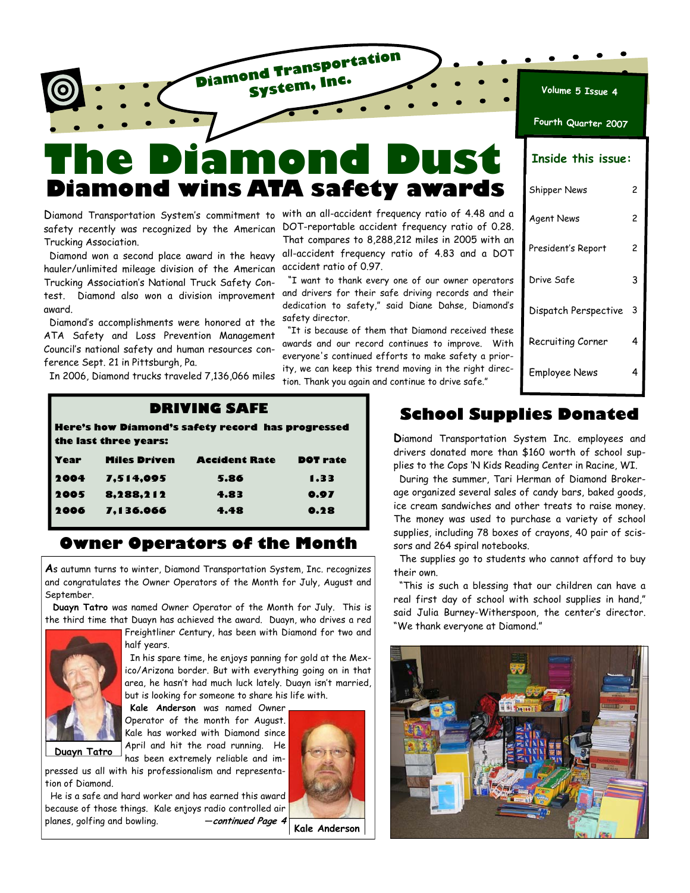

# **The Diamond Dust Diamond wins ATA safety awards**

safety recently was recognized by the American Trucking Association.

 Diamond won a second place award in the heavy hauler/unlimited mileage division of the American Trucking Association's National Truck Safety Contest. Diamond also won a division improvement award.

 Diamond's accomplishments were honored at the ATA Safety and Loss Prevention Management Council's national safety and human resources conference Sept. 21 in Pittsburgh, Pa.

In 2006, Diamond trucks traveled 7,136,066 miles

Diamond Transportation System's commitment to with an all-accident frequency ratio of 4.48 and a DOT-reportable accident frequency ratio of 0.28. That compares to 8,288,212 miles in 2005 with an all-accident frequency ratio of 4.83 and a DOT accident ratio of 0.97.

> "I want to thank every one of our owner operators and drivers for their safe driving records and their dedication to safety," said Diane Dahse, Diamond's safety director.

> "It is because of them that Diamond received these awards and our record continues to improve. With everyone's continued efforts to make safety a priority, we can keep this trend moving in the right direction. Thank you again and continue to drive safe."

| Fourth Quarter 2007       |   |  |  |  |
|---------------------------|---|--|--|--|
| <b>Inside this issue:</b> |   |  |  |  |
| Shipper News              | 2 |  |  |  |
| <b>Agent News</b>         | 2 |  |  |  |
| President's Report        | 2 |  |  |  |
| Drive Safe                | 3 |  |  |  |
| Dispatch Perspective      |   |  |  |  |
| Recruiting Corner         | 4 |  |  |  |
| Employee News             | 4 |  |  |  |

**Volume 5 Issue 4**

#### **DRIVING SAFE**

**Here's how Diamond's safety record has progressed the last three years:** 

| Year | <b>Miles Driven</b> | <b>Accident Rate</b> | <b>DOT</b> rate |
|------|---------------------|----------------------|-----------------|
| 2004 | 7,514,095           | 5.86                 | 1.33            |
| 2005 | 8,288,212           | 4.83                 | 0.97            |
| 2006 | 7,136.066           | 4.48                 | 0.28            |

## **Owner Operators of the Month**

**A**s autumn turns to winter, Diamond Transportation System, Inc. recognizes and congratulates the Owner Operators of the Month for July, August and September.

 **Duayn Tatro** was named Owner Operator of the Month for July. This is the third time that Duayn has achieved the award. Duayn, who drives a red



**Duayn Tatro** 

Freightliner Century, has been with Diamond for two and half years.

 In his spare time, he enjoys panning for gold at the Mexico/Arizona border. But with everything going on in that area, he hasn't had much luck lately. Duayn isn't married, but is looking for someone to share his life with.

 **Kale Anderson** was named Owner Operator of the month for August. Kale has worked with Diamond since April and hit the road running. He has been extremely reliable and im-

pressed us all with his professionalism and representation of Diamond.

 He is a safe and hard worker and has earned this award because of those things. Kale enjoys radio controlled air planes, golfing and bowling. —**continued Page 4** 



**Kale Anderson** 

## **School Supplies Donated**

**D**iamond Transportation System Inc. employees and drivers donated more than \$160 worth of school supplies to the Cops 'N Kids Reading Center in Racine, WI.

 During the summer, Tari Herman of Diamond Brokerage organized several sales of candy bars, baked goods, ice cream sandwiches and other treats to raise money. The money was used to purchase a variety of school supplies, including 78 boxes of crayons, 40 pair of scissors and 264 spiral notebooks.

 The supplies go to students who cannot afford to buy their own.

 "This is such a blessing that our children can have a real first day of school with school supplies in hand," said Julia Burney-Witherspoon, the center's director. "We thank everyone at Diamond."

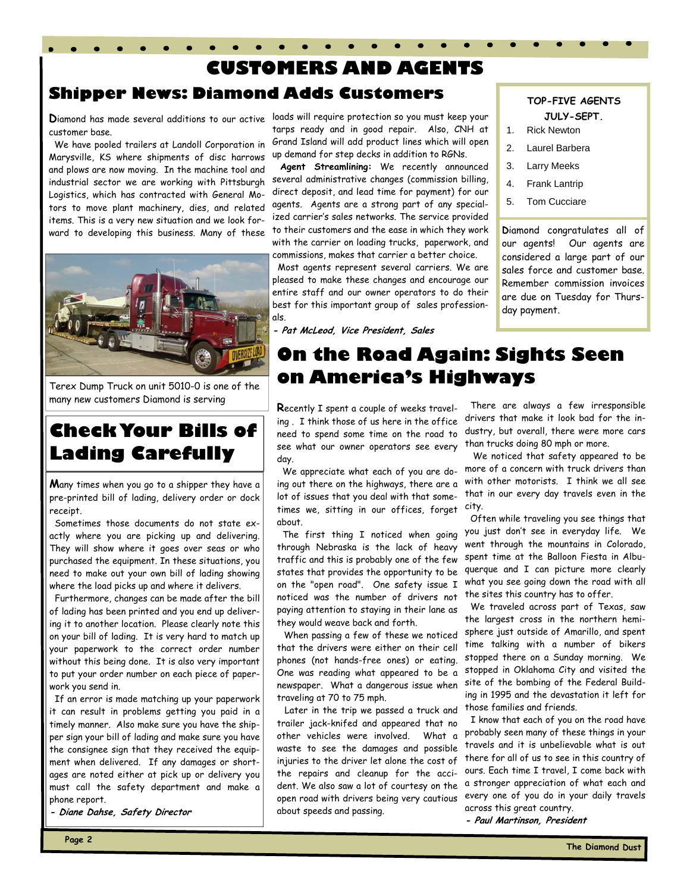# **CUSTOMERS AND AGENTS Shipper News: Diamond Adds Customers**

customer base.

 We have pooled trailers at Landoll Corporation in Marysville, KS where shipments of disc harrows and plows are now moving. In the machine tool and industrial sector we are working with Pittsburgh Logistics, which has contracted with General Motors to move plant machinery, dies, and related items. This is a very new situation and we look forward to developing this business. Many of these



Terex Dump Truck on unit 5010-0 is one of the many new customers Diamond is serving

# **Check Your Bills of Lading Carefully**

**M**any times when you go to a shipper they have a pre-printed bill of lading, delivery order or dock receipt.

 Sometimes those documents do not state exactly where you are picking up and delivering. They will show where it goes over seas or who purchased the equipment. In these situations, you need to make out your own bill of lading showing where the load picks up and where it delivers.

 Furthermore, changes can be made after the bill of lading has been printed and you end up delivering it to another location. Please clearly note this on your bill of lading. It is very hard to match up your paperwork to the correct order number without this being done. It is also very important to put your order number on each piece of paperwork you send in.

 If an error is made matching up your paperwork it can result in problems getting you paid in a timely manner. Also make sure you have the shipper sign your bill of lading and make sure you have the consignee sign that they received the equipment when delivered. If any damages or shortages are noted either at pick up or delivery you must call the safety department and make a phone report.

**- Diane Dahse, Safety Director** 

**D**iamond has made several additions to our active loads will require protection so you must keep your tarps ready and in good repair. Also, CNH at Grand Island will add product lines which will open up demand for step decks in addition to RGNs.

> **Agent Streamlining:** We recently announced several administrative changes (commission billing, direct deposit, and lead time for payment) for our agents. Agents are a strong part of any specialized carrier's sales networks. The service provided to their customers and the ease in which they work with the carrier on loading trucks, paperwork, and commissions, makes that carrier a better choice.

> Most agents represent several carriers. We are pleased to make these changes and encourage our entire staff and our owner operators to do their best for this important group of sales professionals.

**- Pat McLeod, Vice President, Sales**

#### **TOP-FIVE AGENTS JULY-SEPT.**

- 1. Rick Newton
- 2. Laurel Barbera
- 3. Larry Meeks
- 4. Frank Lantrip
- 5. Tom Cucciare

**D**iamond congratulates all of our agents! Our agents are considered a large part of our sales force and customer base. Remember commission invoices are due on Tuesday for Thursday payment.

# **On the Road Again: Sights Seen on America's Highways**

**R**ecently I spent a couple of weeks traveling . I think those of us here in the office need to spend some time on the road to see what our owner operators see every day.

 We appreciate what each of you are doing out there on the highways, there are a lot of issues that you deal with that sometimes we, sitting in our offices, forget city. about.

 The first thing I noticed when going through Nebraska is the lack of heavy traffic and this is probably one of the few states that provides the opportunity to be on the "open road". One safety issue I noticed was the number of drivers not paying attention to staying in their lane as they would weave back and forth.

 When passing a few of these we noticed that the drivers were either on their cell phones (not hands-free ones) or eating. One was reading what appeared to be a newspaper. What a dangerous issue when traveling at 70 to 75 mph.

 Later in the trip we passed a truck and trailer jack-knifed and appeared that no other vehicles were involved. What a waste to see the damages and possible injuries to the driver let alone the cost of the repairs and cleanup for the accident. We also saw a lot of courtesy on the open road with drivers being very cautious about speeds and passing.

 There are always a few irresponsible drivers that make it look bad for the industry, but overall, there were more cars than trucks doing 80 mph or more.

 We noticed that safety appeared to be more of a concern with truck drivers than with other motorists. I think we all see that in our every day travels even in the

 Often while traveling you see things that you just don't see in everyday life. We went through the mountains in Colorado, spent time at the Balloon Fiesta in Albuquerque and I can picture more clearly what you see going down the road with all the sites this country has to offer.

 We traveled across part of Texas, saw the largest cross in the northern hemisphere just outside of Amarillo, and spent time talking with a number of bikers stopped there on a Sunday morning. We stopped in Oklahoma City and visited the site of the bombing of the Federal Building in 1995 and the devastation it left for those families and friends.

 I know that each of you on the road have probably seen many of these things in your travels and it is unbelievable what is out there for all of us to see in this country of ours. Each time I travel, I come back with a stronger appreciation of what each and every one of you do in your daily travels across this great country.

**- Paul Martinson, President**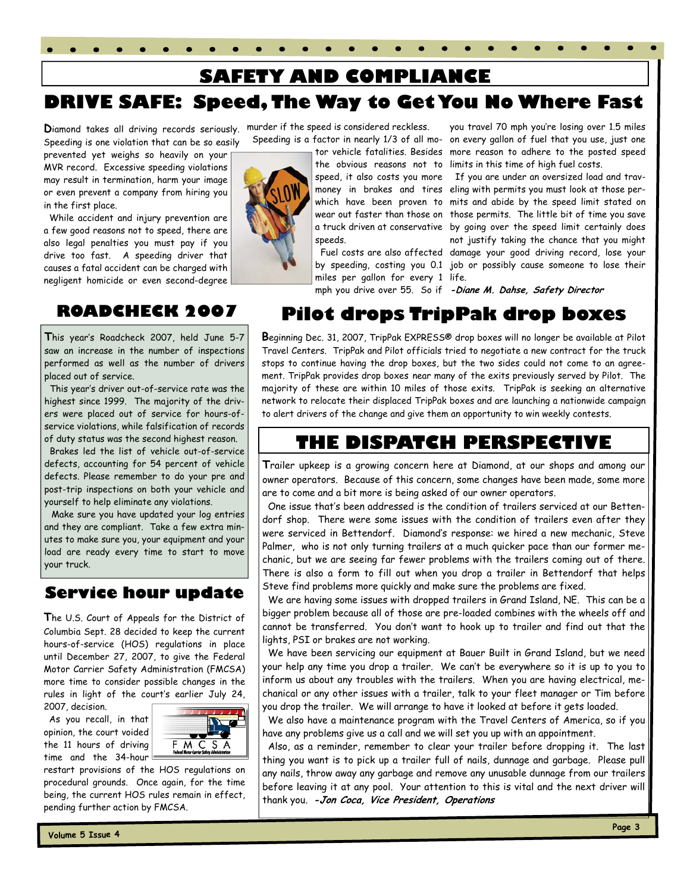# **SAFETY AND COMPLIANCE**

# **DRIVE SAFE: Speed, The Way to Get You No Where Fast**

**D**iamond takes all driving records seriously. Speeding is one violation that can be so easily

prevented yet weighs so heavily on your MVR record. Excessive speeding violations may result in termination, harm your image or even prevent a company from hiring you in the first place.

While accident and injury prevention are a few good reasons not to speed, there are also legal penalties you must pay if you drive too fast. A speeding driver that causes a fatal accident can be charged with negligent homicide or even second-degree

## **ROADCHECK 2007**

**T**his year's Roadcheck 2007, held June 5-7 saw an increase in the number of inspections performed as well as the number of drivers placed out of service.

 This year's driver out-of-service rate was the highest since 1999. The majority of the drivers were placed out of service for hours-ofservice violations, while falsification of records of duty status was the second highest reason.

 Brakes led the list of vehicle out-of-service defects, accounting for 54 percent of vehicle defects. Please remember to do your pre and post-trip inspections on both your vehicle and yourself to help eliminate any violations.

 Make sure you have updated your log entries and they are compliant. Take a few extra minutes to make sure you, your equipment and your load are ready every time to start to move your truck.

## **Service hour update**

**T**he U.S. Court of Appeals for the District of Columbia Sept. 28 decided to keep the current hours-of-service (HOS) regulations in place until December 27, 2007, to give the Federal Motor Carrier Safety Administration (FMCSA) more time to consider possible changes in the rules in light of the court's earlier July 24,

2007, decision. As you recall, in that opinion, the court voided the 11 hours of driving time and the 34-hour



restart provisions of the HOS regulations on procedural grounds. Once again, for the time being, the current HOS rules remain in effect, pending further action by FMCSA.

murder if the speed is considered reckless.

speeds.

miles per gallon for every 1 life.

 Speeding is a factor in nearly 1/3 of all mo-on every gallon of fuel that you use, just one tor vehicle fatalities. Besides more reason to adhere to the posted speed the obvious reasons not to limits in this time of high fuel costs. you travel 70 mph you're losing over 1.5 miles

> speed, it also costs you more If you are under an oversized load and travmoney in brakes and tires eling with permits you must look at those perwhich have been proven to mits and abide by the speed limit stated on wear out faster than those on those permits. The little bit of time you save a truck driven at conservative by going over the speed limit certainly does Fuel costs are also affected damage your good driving record, lose your by speeding, costing you 0.1 job or possibly cause someone to lose their not justify taking the chance that you might

mph you drive over 55. So if **-Diane M. Dahse, Safety Director** 

# **Pilot drops TripPak drop boxes**

**B**eginning Dec. 31, 2007, TripPak EXPRESS® drop boxes will no longer be available at Pilot Travel Centers. TripPak and Pilot officials tried to negotiate a new contract for the truck stops to continue having the drop boxes, but the two sides could not come to an agreement. TripPak provides drop boxes near many of the exits previously served by Pilot. The majority of these are within 10 miles of those exits. TripPak is seeking an alternative network to relocate their displaced TripPak boxes and are launching a nationwide campaign to alert drivers of the change and give them an opportunity to win weekly contests.

## **THE DISPATCH PERSPECTIVE**

**T**railer upkeep is a growing concern here at Diamond, at our shops and among our owner operators. Because of this concern, some changes have been made, some more are to come and a bit more is being asked of our owner operators.

 One issue that's been addressed is the condition of trailers serviced at our Bettendorf shop. There were some issues with the condition of trailers even after they were serviced in Bettendorf. Diamond's response: we hired a new mechanic, Steve Palmer, who is not only turning trailers at a much quicker pace than our former mechanic, but we are seeing far fewer problems with the trailers coming out of there. There is also a form to fill out when you drop a trailer in Bettendorf that helps Steve find problems more quickly and make sure the problems are fixed.

 We are having some issues with dropped trailers in Grand Island, NE. This can be a bigger problem because all of those are pre-loaded combines with the wheels off and cannot be transferred. You don't want to hook up to trailer and find out that the lights, PSI or brakes are not working.

 We have been servicing our equipment at Bauer Built in Grand Island, but we need your help any time you drop a trailer. We can't be everywhere so it is up to you to inform us about any troubles with the trailers. When you are having electrical, mechanical or any other issues with a trailer, talk to your fleet manager or Tim before you drop the trailer. We will arrange to have it looked at before it gets loaded.

 We also have a maintenance program with the Travel Centers of America, so if you have any problems give us a call and we will set you up with an appointment.

 Also, as a reminder, remember to clear your trailer before dropping it. The last thing you want is to pick up a trailer full of nails, dunnage and garbage. Please pull any nails, throw away any garbage and remove any unusable dunnage from our trailers before leaving it at any pool. Your attention to this is vital and the next driver will thank you. **-Jon Coca, Vice President, Operations**